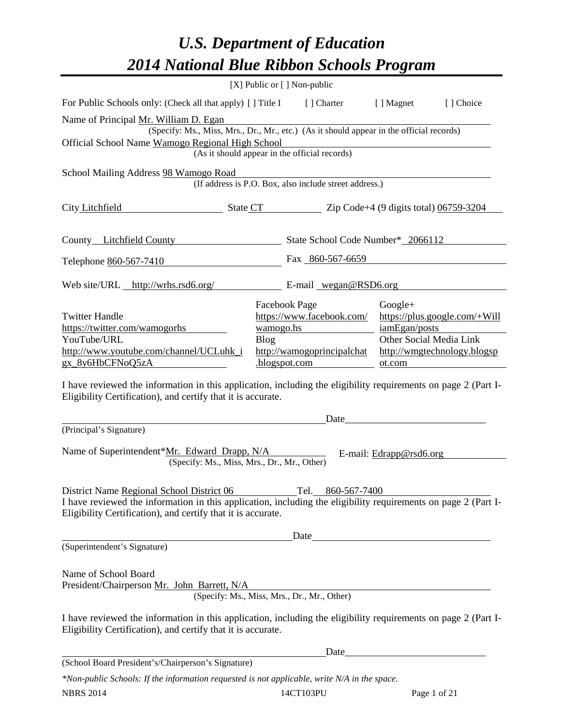## *U.S. Department of Education 2014 National Blue Ribbon Schools Program*

|                                                                                                                                                                                |                                                        | [X] Public or [] Non-public                   |                                          |                               |  |  |  |  |
|--------------------------------------------------------------------------------------------------------------------------------------------------------------------------------|--------------------------------------------------------|-----------------------------------------------|------------------------------------------|-------------------------------|--|--|--|--|
| For Public Schools only: (Check all that apply) [] Title I                                                                                                                     |                                                        | [ ] Charter                                   | [ ] Magnet                               | [] Choice                     |  |  |  |  |
| Name of Principal Mr. William D. Egan                                                                                                                                          |                                                        |                                               |                                          |                               |  |  |  |  |
| (Specify: Ms., Miss, Mrs., Dr., Mr., etc.) (As it should appear in the official records)<br>Official School Name Wamogo Regional High School                                   |                                                        |                                               |                                          |                               |  |  |  |  |
|                                                                                                                                                                                |                                                        | (As it should appear in the official records) |                                          |                               |  |  |  |  |
| School Mailing Address 98 Wamogo Road                                                                                                                                          |                                                        |                                               |                                          |                               |  |  |  |  |
|                                                                                                                                                                                | (If address is P.O. Box, also include street address.) |                                               |                                          |                               |  |  |  |  |
| City Litchfield<br>State CT Zip Code+4 (9 digits total) 06759-3204                                                                                                             |                                                        |                                               |                                          |                               |  |  |  |  |
| County Litchfield County                                                                                                                                                       |                                                        | State School Code Number* 2066112             |                                          |                               |  |  |  |  |
| Telephone 860-567-7410                                                                                                                                                         |                                                        | Fax 860-567-6659                              |                                          |                               |  |  |  |  |
| Web site/URL http://wrhs.rsd6.org/                                                                                                                                             |                                                        | E-mail wegan@RSD6.org                         |                                          |                               |  |  |  |  |
|                                                                                                                                                                                |                                                        | Facebook Page                                 | $Google+$                                |                               |  |  |  |  |
| <b>Twitter Handle</b>                                                                                                                                                          |                                                        | https://www.facebook.com/                     |                                          | https://plus.google.com/+Will |  |  |  |  |
| https://twitter.com/wamogorhs<br>YouTube/URL                                                                                                                                   | wamogo.hs<br>Blog                                      |                                               | iamEgan/posts<br>Other Social Media Link |                               |  |  |  |  |
| http://www.youtube.com/channel/UCLuhk_i                                                                                                                                        |                                                        | http://wamogoprincipalchat                    |                                          | http://wmgtechnology.blogsp   |  |  |  |  |
| gx_8y6HbCFNoQ5zA                                                                                                                                                               |                                                        | .blogspot.com                                 | ot.com                                   |                               |  |  |  |  |
| I have reviewed the information in this application, including the eligibility requirements on page 2 (Part I-<br>Eligibility Certification), and certify that it is accurate. |                                                        |                                               |                                          |                               |  |  |  |  |
| (Principal's Signature)                                                                                                                                                        |                                                        | Date                                          |                                          |                               |  |  |  |  |
| Name of Superintendent*Mr. Edward Drapp, N/A<br>(Specify: Ms., Miss, Mrs., Dr., Mr., Other)                                                                                    |                                                        |                                               | E-mail: Edrapp@rsd6.org                  |                               |  |  |  |  |
| District Name Regional School District 06                                                                                                                                      |                                                        | Tel. 860-567-7400                             |                                          |                               |  |  |  |  |
| I have reviewed the information in this application, including the eligibility requirements on page 2 (Part I-<br>Eligibility Certification), and certify that it is accurate. |                                                        |                                               |                                          |                               |  |  |  |  |
|                                                                                                                                                                                |                                                        |                                               |                                          |                               |  |  |  |  |
| (Superintendent's Signature)                                                                                                                                                   |                                                        |                                               |                                          |                               |  |  |  |  |
| Name of School Board<br>President/Chairperson Mr. John Barrett, N/A                                                                                                            |                                                        | (Specify: Ms., Miss, Mrs., Dr., Mr., Other)   |                                          |                               |  |  |  |  |
|                                                                                                                                                                                |                                                        |                                               |                                          |                               |  |  |  |  |
| I have reviewed the information in this application, including the eligibility requirements on page 2 (Part I-<br>Eligibility Certification), and certify that it is accurate. |                                                        |                                               |                                          |                               |  |  |  |  |
|                                                                                                                                                                                |                                                        |                                               |                                          |                               |  |  |  |  |
| (School Board President's/Chairperson's Signature)                                                                                                                             |                                                        |                                               |                                          |                               |  |  |  |  |

*\*Non-public Schools: If the information requested is not applicable, write N/A in the space.*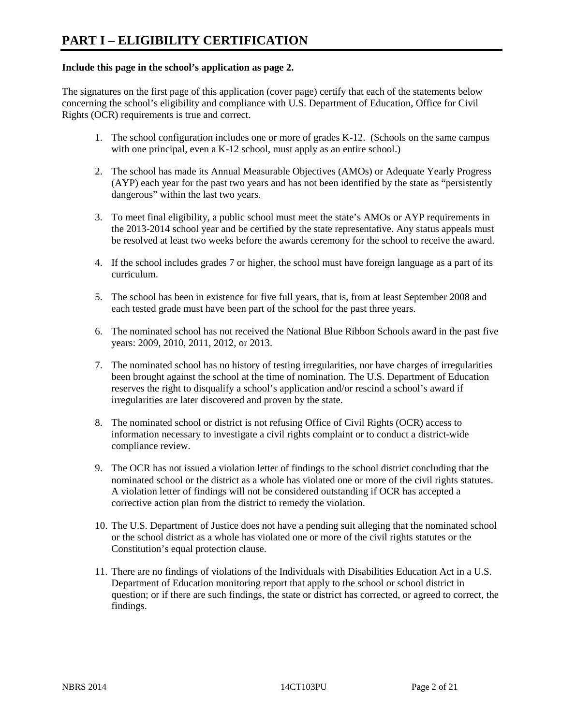#### **Include this page in the school's application as page 2.**

The signatures on the first page of this application (cover page) certify that each of the statements below concerning the school's eligibility and compliance with U.S. Department of Education, Office for Civil Rights (OCR) requirements is true and correct.

- 1. The school configuration includes one or more of grades K-12. (Schools on the same campus with one principal, even a K-12 school, must apply as an entire school.)
- 2. The school has made its Annual Measurable Objectives (AMOs) or Adequate Yearly Progress (AYP) each year for the past two years and has not been identified by the state as "persistently dangerous" within the last two years.
- 3. To meet final eligibility, a public school must meet the state's AMOs or AYP requirements in the 2013-2014 school year and be certified by the state representative. Any status appeals must be resolved at least two weeks before the awards ceremony for the school to receive the award.
- 4. If the school includes grades 7 or higher, the school must have foreign language as a part of its curriculum.
- 5. The school has been in existence for five full years, that is, from at least September 2008 and each tested grade must have been part of the school for the past three years.
- 6. The nominated school has not received the National Blue Ribbon Schools award in the past five years: 2009, 2010, 2011, 2012, or 2013.
- 7. The nominated school has no history of testing irregularities, nor have charges of irregularities been brought against the school at the time of nomination. The U.S. Department of Education reserves the right to disqualify a school's application and/or rescind a school's award if irregularities are later discovered and proven by the state.
- 8. The nominated school or district is not refusing Office of Civil Rights (OCR) access to information necessary to investigate a civil rights complaint or to conduct a district-wide compliance review.
- 9. The OCR has not issued a violation letter of findings to the school district concluding that the nominated school or the district as a whole has violated one or more of the civil rights statutes. A violation letter of findings will not be considered outstanding if OCR has accepted a corrective action plan from the district to remedy the violation.
- 10. The U.S. Department of Justice does not have a pending suit alleging that the nominated school or the school district as a whole has violated one or more of the civil rights statutes or the Constitution's equal protection clause.
- 11. There are no findings of violations of the Individuals with Disabilities Education Act in a U.S. Department of Education monitoring report that apply to the school or school district in question; or if there are such findings, the state or district has corrected, or agreed to correct, the findings.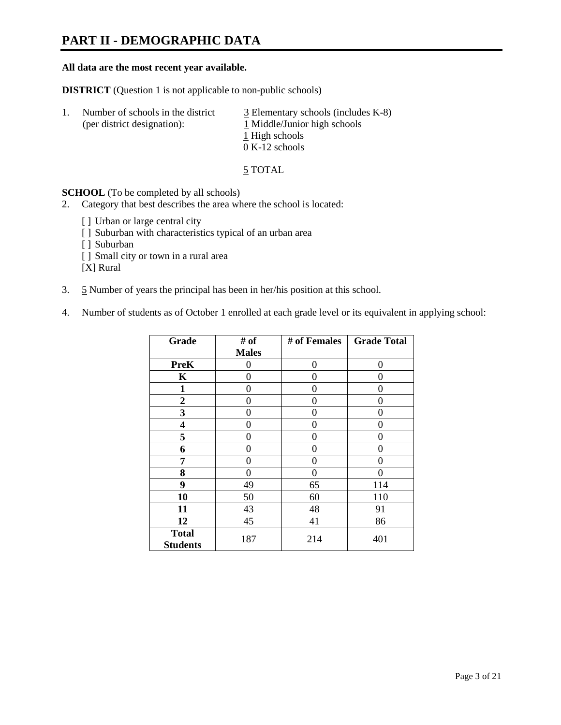### **PART II - DEMOGRAPHIC DATA**

#### **All data are the most recent year available.**

**DISTRICT** (Question 1 is not applicable to non-public schools)

| -1. | Number of schools in the district<br>(per district designation): | $\overline{3}$ Elementary schools (includes K-8)<br>1 Middle/Junior high schools<br>1 High schools |
|-----|------------------------------------------------------------------|----------------------------------------------------------------------------------------------------|
|     |                                                                  | $0 K-12$ schools                                                                                   |

5 TOTAL

**SCHOOL** (To be completed by all schools)

- 2. Category that best describes the area where the school is located:
	- [] Urban or large central city
	- [ ] Suburban with characteristics typical of an urban area
	- [ ] Suburban
	- [ ] Small city or town in a rural area

[X] Rural

- 3. 5 Number of years the principal has been in her/his position at this school.
- 4. Number of students as of October 1 enrolled at each grade level or its equivalent in applying school:

| Grade                           | # of         | # of Females | <b>Grade Total</b> |
|---------------------------------|--------------|--------------|--------------------|
|                                 | <b>Males</b> |              |                    |
| <b>PreK</b>                     | 0            | 0            | $\Omega$           |
| K                               | 0            | 0            | 0                  |
| $\mathbf{1}$                    | 0            | 0            | 0                  |
| $\mathbf{2}$                    | 0            | 0            | 0                  |
| 3                               | 0            | 0            | 0                  |
| 4                               | 0            | 0            | 0                  |
| 5                               | 0            | 0            | 0                  |
| 6                               | 0            | 0            | 0                  |
| 7                               | 0            | 0            | 0                  |
| 8                               | 0            | 0            | 0                  |
| 9                               | 49           | 65           | 114                |
| 10                              | 50           | 60           | 110                |
| 11                              | 43           | 48           | 91                 |
| 12                              | 45           | 41           | 86                 |
| <b>Total</b><br><b>Students</b> | 187          | 214          | 401                |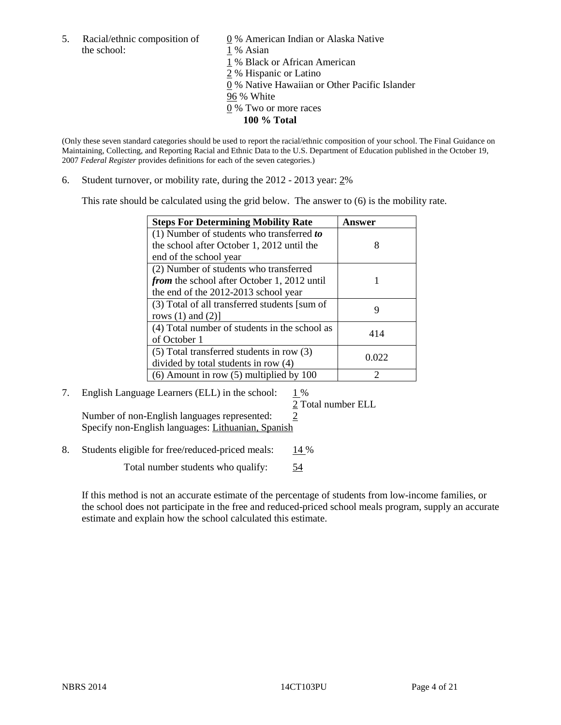5. Racial/ethnic composition of  $\qquad \qquad \underline{0}$  % American Indian or Alaska Native the school: 1 % Asian

 1 % Black or African American 2 % Hispanic or Latino 0 % Native Hawaiian or Other Pacific Islander 96 % White 0 % Two or more races **100 % Total** 

(Only these seven standard categories should be used to report the racial/ethnic composition of your school. The Final Guidance on Maintaining, Collecting, and Reporting Racial and Ethnic Data to the U.S. Department of Education published in the October 19, 2007 *Federal Register* provides definitions for each of the seven categories.)

6. Student turnover, or mobility rate, during the 2012 - 2013 year: 2%

This rate should be calculated using the grid below. The answer to (6) is the mobility rate.

| <b>Steps For Determining Mobility Rate</b>         | Answer |
|----------------------------------------------------|--------|
| (1) Number of students who transferred to          |        |
| the school after October 1, 2012 until the         | 8      |
| end of the school year                             |        |
| (2) Number of students who transferred             |        |
| <i>from</i> the school after October 1, 2012 until |        |
| the end of the 2012-2013 school year               |        |
| (3) Total of all transferred students [sum of      | 9      |
| rows $(1)$ and $(2)$ ]                             |        |
| (4) Total number of students in the school as      | 414    |
| of October 1                                       |        |
| $(5)$ Total transferred students in row $(3)$      | 0.022  |
| divided by total students in row (4)               |        |
| $(6)$ Amount in row $(5)$ multiplied by 100        | ာ      |

## 7. English Language Learners (ELL) in the school:  $1\%$

2 Total number ELL

Number of non-English languages represented: 2 Specify non-English languages: Lithuanian, Spanish

8. Students eligible for free/reduced-priced meals: 14 %

Total number students who qualify: 54

If this method is not an accurate estimate of the percentage of students from low-income families, or the school does not participate in the free and reduced-priced school meals program, supply an accurate estimate and explain how the school calculated this estimate.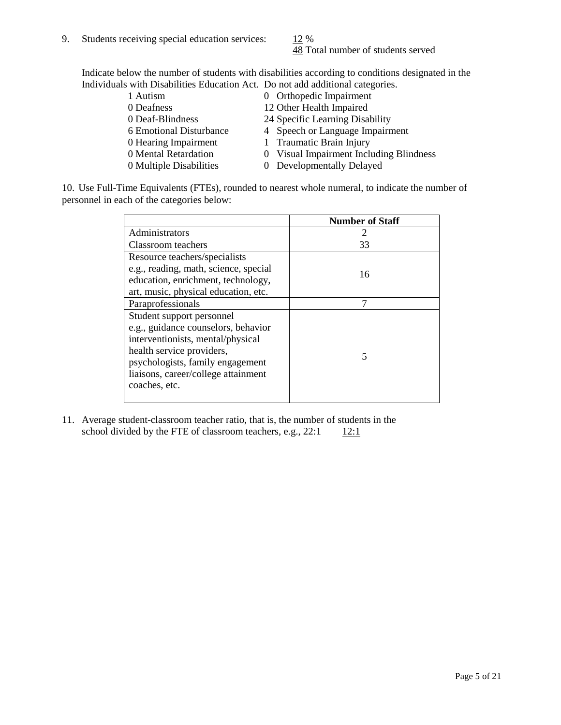48 Total number of students served

Indicate below the number of students with disabilities according to conditions designated in the Individuals with Disabilities Education Act. Do not add additional categories.

| 1 Autism                | 0 Orthopedic Impairment                 |
|-------------------------|-----------------------------------------|
| 0 Deafness              | 12 Other Health Impaired                |
| 0 Deaf-Blindness        | 24 Specific Learning Disability         |
| 6 Emotional Disturbance | 4 Speech or Language Impairment         |
| 0 Hearing Impairment    | 1 Traumatic Brain Injury                |
| 0 Mental Retardation    | 0 Visual Impairment Including Blindness |
| 0 Multiple Disabilities | 0 Developmentally Delayed               |
|                         |                                         |

10. Use Full-Time Equivalents (FTEs), rounded to nearest whole numeral, to indicate the number of personnel in each of the categories below:

|                                       | <b>Number of Staff</b> |
|---------------------------------------|------------------------|
| Administrators                        |                        |
| <b>Classroom</b> teachers             | 33                     |
| Resource teachers/specialists         |                        |
| e.g., reading, math, science, special | 16                     |
| education, enrichment, technology,    |                        |
| art, music, physical education, etc.  |                        |
| Paraprofessionals                     |                        |
| Student support personnel             |                        |
| e.g., guidance counselors, behavior   |                        |
| interventionists, mental/physical     |                        |
| health service providers,             | 5                      |
| psychologists, family engagement      |                        |
| liaisons, career/college attainment   |                        |
| coaches, etc.                         |                        |
|                                       |                        |

11. Average student-classroom teacher ratio, that is, the number of students in the school divided by the FTE of classroom teachers, e.g.,  $22:1$  12:1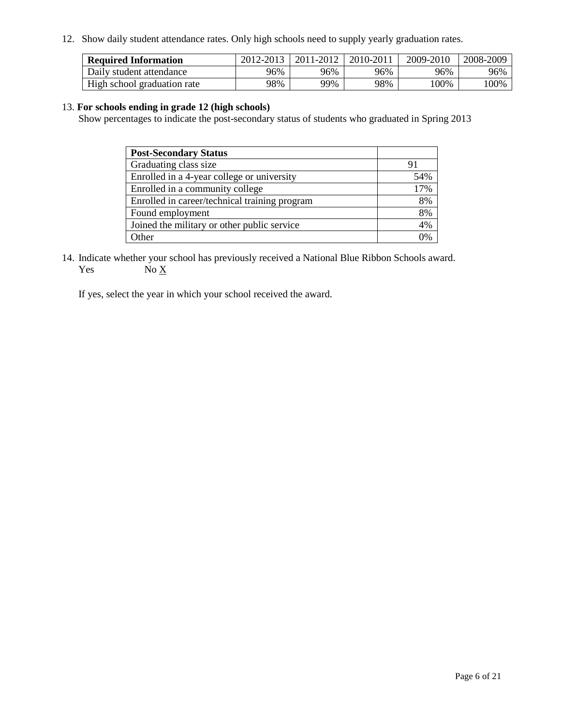12. Show daily student attendance rates. Only high schools need to supply yearly graduation rates.

| <b>Required Information</b> | 2012-2013 | 2011-2012 | 2010-2011 | 2009-2010 | 2008-2009 |
|-----------------------------|-----------|-----------|-----------|-----------|-----------|
| Daily student attendance    | 96%       | 96%       | 96%       | 96%       | 96%       |
| High school graduation rate | 98%       | 99%       | 98%       | $100\%$   | 100%      |

#### 13. **For schools ending in grade 12 (high schools)**

Show percentages to indicate the post-secondary status of students who graduated in Spring 2013

| <b>Post-Secondary Status</b>                  |     |
|-----------------------------------------------|-----|
| Graduating class size                         |     |
| Enrolled in a 4-year college or university    | 54% |
| Enrolled in a community college               | 17% |
| Enrolled in career/technical training program | 8%  |
| Found employment                              | 8%  |
| Joined the military or other public service   | 4%  |
| <b>Other</b>                                  | 2%  |

14. Indicate whether your school has previously received a National Blue Ribbon Schools award. Yes  $No \underline{X}$ 

If yes, select the year in which your school received the award.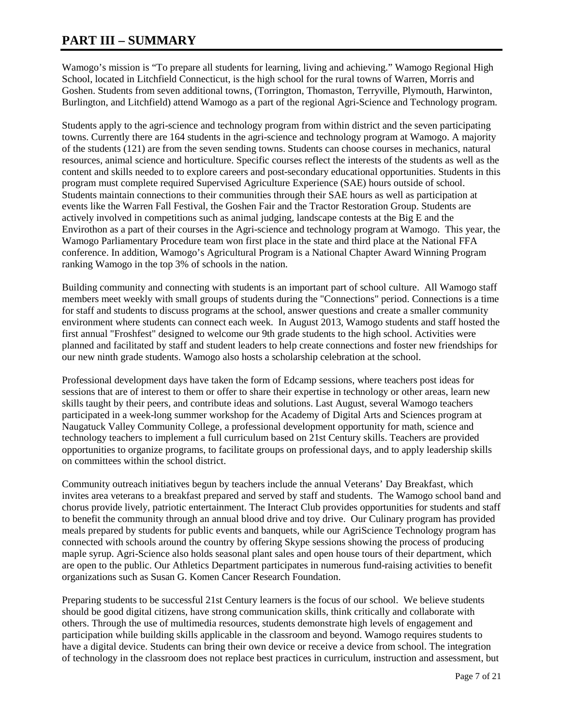### **PART III – SUMMARY**

Wamogo's mission is "To prepare all students for learning, living and achieving." Wamogo Regional High School, located in Litchfield Connecticut, is the high school for the rural towns of Warren, Morris and Goshen. Students from seven additional towns, (Torrington, Thomaston, Terryville, Plymouth, Harwinton, Burlington, and Litchfield) attend Wamogo as a part of the regional Agri-Science and Technology program.

Students apply to the agri-science and technology program from within district and the seven participating towns. Currently there are 164 students in the agri-science and technology program at Wamogo. A majority of the students (121) are from the seven sending towns. Students can choose courses in mechanics, natural resources, animal science and horticulture. Specific courses reflect the interests of the students as well as the content and skills needed to to explore careers and post-secondary educational opportunities. Students in this program must complete required Supervised Agriculture Experience (SAE) hours outside of school. Students maintain connections to their communities through their SAE hours as well as participation at events like the Warren Fall Festival, the Goshen Fair and the Tractor Restoration Group. Students are actively involved in competitions such as animal judging, landscape contests at the Big E and the Envirothon as a part of their courses in the Agri-science and technology program at Wamogo. This year, the Wamogo Parliamentary Procedure team won first place in the state and third place at the National FFA conference. In addition, Wamogo's Agricultural Program is a National Chapter Award Winning Program ranking Wamogo in the top 3% of schools in the nation.

Building community and connecting with students is an important part of school culture. All Wamogo staff members meet weekly with small groups of students during the "Connections" period. Connections is a time for staff and students to discuss programs at the school, answer questions and create a smaller community environment where students can connect each week. In August 2013, Wamogo students and staff hosted the first annual "Froshfest" designed to welcome our 9th grade students to the high school. Activities were planned and facilitated by staff and student leaders to help create connections and foster new friendships for our new ninth grade students. Wamogo also hosts a scholarship celebration at the school.

Professional development days have taken the form of Edcamp sessions, where teachers post ideas for sessions that are of interest to them or offer to share their expertise in technology or other areas, learn new skills taught by their peers, and contribute ideas and solutions. Last August, several Wamogo teachers participated in a week-long summer workshop for the Academy of Digital Arts and Sciences program at Naugatuck Valley Community College, a professional development opportunity for math, science and technology teachers to implement a full curriculum based on 21st Century skills. Teachers are provided opportunities to organize programs, to facilitate groups on professional days, and to apply leadership skills on committees within the school district.

Community outreach initiatives begun by teachers include the annual Veterans' Day Breakfast, which invites area veterans to a breakfast prepared and served by staff and students. The Wamogo school band and chorus provide lively, patriotic entertainment. The Interact Club provides opportunities for students and staff to benefit the community through an annual blood drive and toy drive. Our Culinary program has provided meals prepared by students for public events and banquets, while our AgriScience Technology program has connected with schools around the country by offering Skype sessions showing the process of producing maple syrup. Agri-Science also holds seasonal plant sales and open house tours of their department, which are open to the public. Our Athletics Department participates in numerous fund-raising activities to benefit organizations such as Susan G. Komen Cancer Research Foundation.

Preparing students to be successful 21st Century learners is the focus of our school. We believe students should be good digital citizens, have strong communication skills, think critically and collaborate with others. Through the use of multimedia resources, students demonstrate high levels of engagement and participation while building skills applicable in the classroom and beyond. Wamogo requires students to have a digital device. Students can bring their own device or receive a device from school. The integration of technology in the classroom does not replace best practices in curriculum, instruction and assessment, but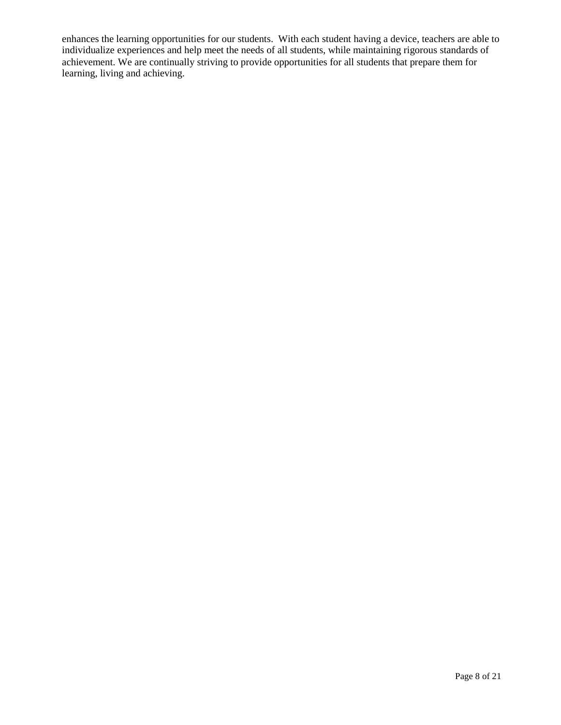enhances the learning opportunities for our students. With each student having a device, teachers are able to individualize experiences and help meet the needs of all students, while maintaining rigorous standards of achievement. We are continually striving to provide opportunities for all students that prepare them for learning, living and achieving.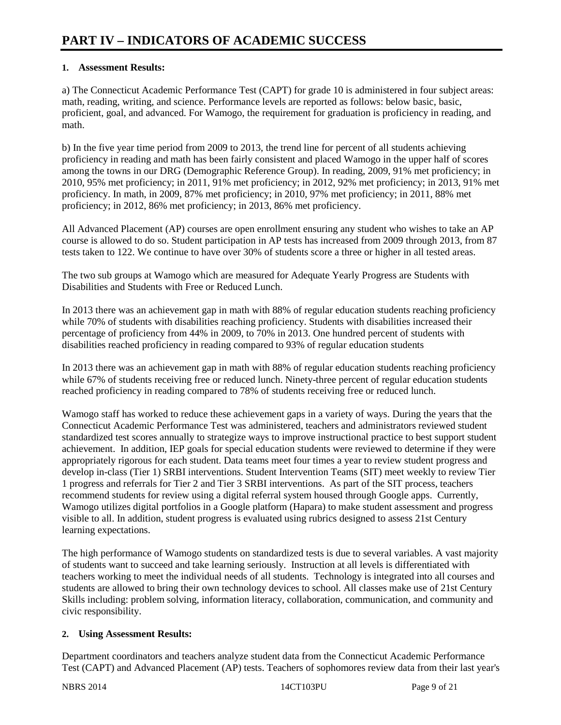#### **1. Assessment Results:**

a) The Connecticut Academic Performance Test (CAPT) for grade 10 is administered in four subject areas: math, reading, writing, and science. Performance levels are reported as follows: below basic, basic, proficient, goal, and advanced. For Wamogo, the requirement for graduation is proficiency in reading, and math.

b) In the five year time period from 2009 to 2013, the trend line for percent of all students achieving proficiency in reading and math has been fairly consistent and placed Wamogo in the upper half of scores among the towns in our DRG (Demographic Reference Group). In reading, 2009, 91% met proficiency; in 2010, 95% met proficiency; in 2011, 91% met proficiency; in 2012, 92% met proficiency; in 2013, 91% met proficiency. In math, in 2009, 87% met proficiency; in 2010, 97% met proficiency; in 2011, 88% met proficiency; in 2012, 86% met proficiency; in 2013, 86% met proficiency.

All Advanced Placement (AP) courses are open enrollment ensuring any student who wishes to take an AP course is allowed to do so. Student participation in AP tests has increased from 2009 through 2013, from 87 tests taken to 122. We continue to have over 30% of students score a three or higher in all tested areas.

The two sub groups at Wamogo which are measured for Adequate Yearly Progress are Students with Disabilities and Students with Free or Reduced Lunch.

In 2013 there was an achievement gap in math with 88% of regular education students reaching proficiency while 70% of students with disabilities reaching proficiency. Students with disabilities increased their percentage of proficiency from 44% in 2009, to 70% in 2013. One hundred percent of students with disabilities reached proficiency in reading compared to 93% of regular education students

In 2013 there was an achievement gap in math with 88% of regular education students reaching proficiency while 67% of students receiving free or reduced lunch. Ninety-three percent of regular education students reached proficiency in reading compared to 78% of students receiving free or reduced lunch.

Wamogo staff has worked to reduce these achievement gaps in a variety of ways. During the years that the Connecticut Academic Performance Test was administered, teachers and administrators reviewed student standardized test scores annually to strategize ways to improve instructional practice to best support student achievement. In addition, IEP goals for special education students were reviewed to determine if they were appropriately rigorous for each student. Data teams meet four times a year to review student progress and develop in-class (Tier 1) SRBI interventions. Student Intervention Teams (SIT) meet weekly to review Tier 1 progress and referrals for Tier 2 and Tier 3 SRBI interventions. As part of the SIT process, teachers recommend students for review using a digital referral system housed through Google apps. Currently, Wamogo utilizes digital portfolios in a Google platform (Hapara) to make student assessment and progress visible to all. In addition, student progress is evaluated using rubrics designed to assess 21st Century learning expectations.

The high performance of Wamogo students on standardized tests is due to several variables. A vast majority of students want to succeed and take learning seriously. Instruction at all levels is differentiated with teachers working to meet the individual needs of all students. Technology is integrated into all courses and students are allowed to bring their own technology devices to school. All classes make use of 21st Century Skills including: problem solving, information literacy, collaboration, communication, and community and civic responsibility.

#### **2. Using Assessment Results:**

Department coordinators and teachers analyze student data from the Connecticut Academic Performance Test (CAPT) and Advanced Placement (AP) tests. Teachers of sophomores review data from their last year's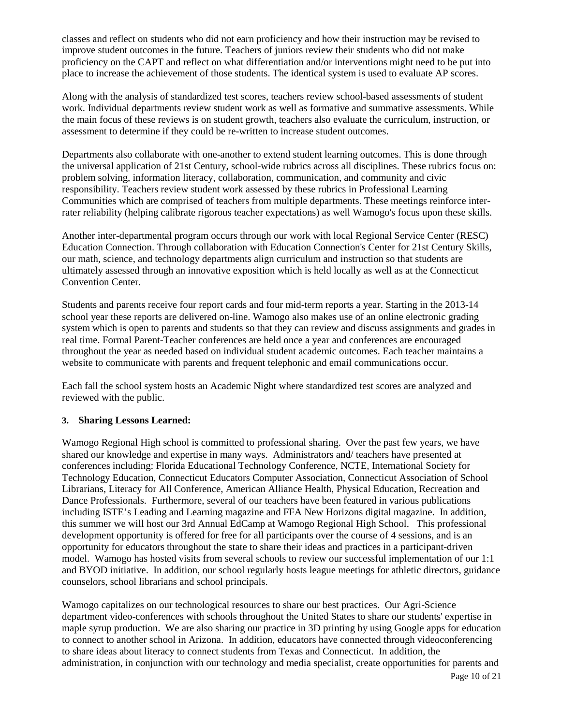classes and reflect on students who did not earn proficiency and how their instruction may be revised to improve student outcomes in the future. Teachers of juniors review their students who did not make proficiency on the CAPT and reflect on what differentiation and/or interventions might need to be put into place to increase the achievement of those students. The identical system is used to evaluate AP scores.

Along with the analysis of standardized test scores, teachers review school-based assessments of student work. Individual departments review student work as well as formative and summative assessments. While the main focus of these reviews is on student growth, teachers also evaluate the curriculum, instruction, or assessment to determine if they could be re-written to increase student outcomes.

Departments also collaborate with one-another to extend student learning outcomes. This is done through the universal application of 21st Century, school-wide rubrics across all disciplines. These rubrics focus on: problem solving, information literacy, collaboration, communication, and community and civic responsibility. Teachers review student work assessed by these rubrics in Professional Learning Communities which are comprised of teachers from multiple departments. These meetings reinforce interrater reliability (helping calibrate rigorous teacher expectations) as well Wamogo's focus upon these skills.

Another inter-departmental program occurs through our work with local Regional Service Center (RESC) Education Connection. Through collaboration with Education Connection's Center for 21st Century Skills, our math, science, and technology departments align curriculum and instruction so that students are ultimately assessed through an innovative exposition which is held locally as well as at the Connecticut Convention Center.

Students and parents receive four report cards and four mid-term reports a year. Starting in the 2013-14 school year these reports are delivered on-line. Wamogo also makes use of an online electronic grading system which is open to parents and students so that they can review and discuss assignments and grades in real time. Formal Parent-Teacher conferences are held once a year and conferences are encouraged throughout the year as needed based on individual student academic outcomes. Each teacher maintains a website to communicate with parents and frequent telephonic and email communications occur.

Each fall the school system hosts an Academic Night where standardized test scores are analyzed and reviewed with the public.

#### **3. Sharing Lessons Learned:**

Wamogo Regional High school is committed to professional sharing. Over the past few years, we have shared our knowledge and expertise in many ways. Administrators and/ teachers have presented at conferences including: Florida Educational Technology Conference, NCTE, International Society for Technology Education, Connecticut Educators Computer Association, Connecticut Association of School Librarians, Literacy for All Conference, American Alliance Health, Physical Education, Recreation and Dance Professionals. Furthermore, several of our teachers have been featured in various publications including ISTE's Leading and Learning magazine and FFA New Horizons digital magazine. In addition, this summer we will host our 3rd Annual EdCamp at Wamogo Regional High School. This professional development opportunity is offered for free for all participants over the course of 4 sessions, and is an opportunity for educators throughout the state to share their ideas and practices in a participant-driven model. Wamogo has hosted visits from several schools to review our successful implementation of our 1:1 and BYOD initiative. In addition, our school regularly hosts league meetings for athletic directors, guidance counselors, school librarians and school principals.

Wamogo capitalizes on our technological resources to share our best practices. Our Agri-Science department video-conferences with schools throughout the United States to share our students' expertise in maple syrup production. We are also sharing our practice in 3D printing by using Google apps for education to connect to another school in Arizona. In addition, educators have connected through videoconferencing to share ideas about literacy to connect students from Texas and Connecticut. In addition, the administration, in conjunction with our technology and media specialist, create opportunities for parents and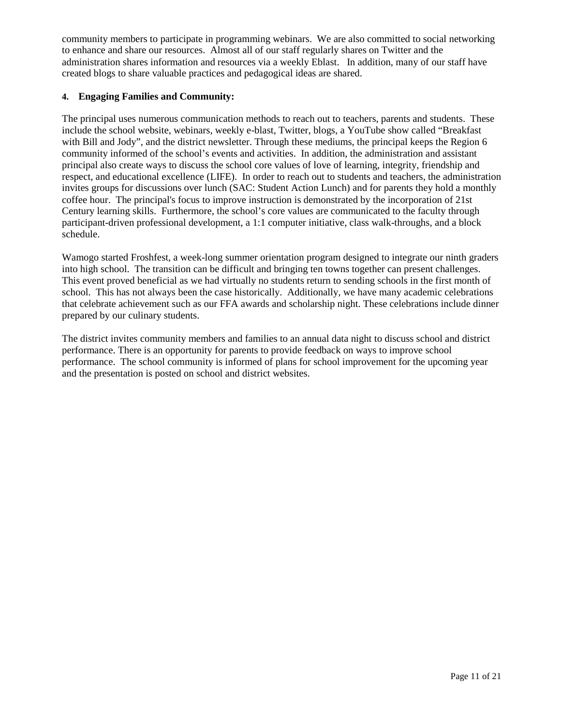community members to participate in programming webinars. We are also committed to social networking to enhance and share our resources. Almost all of our staff regularly shares on Twitter and the administration shares information and resources via a weekly Eblast. In addition, many of our staff have created blogs to share valuable practices and pedagogical ideas are shared.

#### **4. Engaging Families and Community:**

The principal uses numerous communication methods to reach out to teachers, parents and students. These include the school website, webinars, weekly e-blast, Twitter, blogs, a YouTube show called "Breakfast with Bill and Jody", and the district newsletter. Through these mediums, the principal keeps the Region 6 community informed of the school's events and activities. In addition, the administration and assistant principal also create ways to discuss the school core values of love of learning, integrity, friendship and respect, and educational excellence (LIFE). In order to reach out to students and teachers, the administration invites groups for discussions over lunch (SAC: Student Action Lunch) and for parents they hold a monthly coffee hour. The principal's focus to improve instruction is demonstrated by the incorporation of 21st Century learning skills. Furthermore, the school's core values are communicated to the faculty through participant-driven professional development, a 1:1 computer initiative, class walk-throughs, and a block schedule.

Wamogo started Froshfest, a week-long summer orientation program designed to integrate our ninth graders into high school. The transition can be difficult and bringing ten towns together can present challenges. This event proved beneficial as we had virtually no students return to sending schools in the first month of school. This has not always been the case historically. Additionally, we have many academic celebrations that celebrate achievement such as our FFA awards and scholarship night. These celebrations include dinner prepared by our culinary students.

The district invites community members and families to an annual data night to discuss school and district performance. There is an opportunity for parents to provide feedback on ways to improve school performance. The school community is informed of plans for school improvement for the upcoming year and the presentation is posted on school and district websites.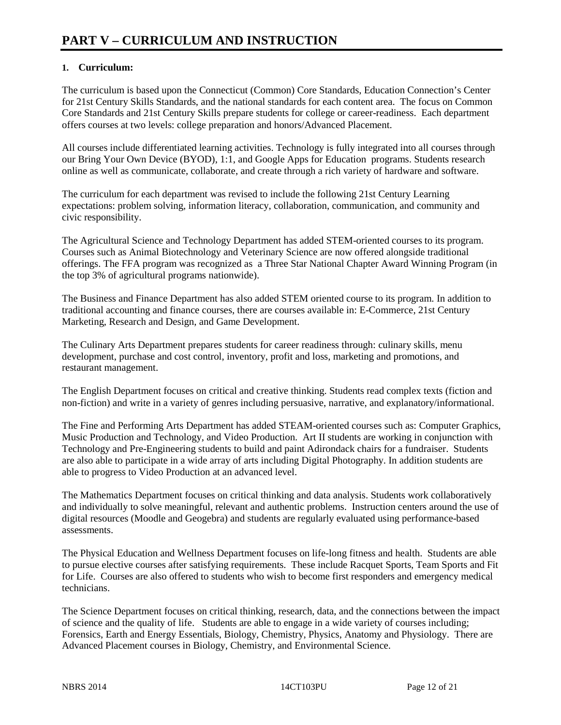#### **1. Curriculum:**

The curriculum is based upon the Connecticut (Common) Core Standards, Education Connection's Center for 21st Century Skills Standards, and the national standards for each content area. The focus on Common Core Standards and 21st Century Skills prepare students for college or career-readiness. Each department offers courses at two levels: college preparation and honors/Advanced Placement.

All courses include differentiated learning activities. Technology is fully integrated into all courses through our Bring Your Own Device (BYOD), 1:1, and Google Apps for Education programs. Students research online as well as communicate, collaborate, and create through a rich variety of hardware and software.

The curriculum for each department was revised to include the following 21st Century Learning expectations: problem solving, information literacy, collaboration, communication, and community and civic responsibility.

The Agricultural Science and Technology Department has added STEM-oriented courses to its program. Courses such as Animal Biotechnology and Veterinary Science are now offered alongside traditional offerings. The FFA program was recognized as a Three Star National Chapter Award Winning Program (in the top 3% of agricultural programs nationwide).

The Business and Finance Department has also added STEM oriented course to its program. In addition to traditional accounting and finance courses, there are courses available in: E-Commerce, 21st Century Marketing, Research and Design, and Game Development.

The Culinary Arts Department prepares students for career readiness through: culinary skills, menu development, purchase and cost control, inventory, profit and loss, marketing and promotions, and restaurant management.

The English Department focuses on critical and creative thinking. Students read complex texts (fiction and non-fiction) and write in a variety of genres including persuasive, narrative, and explanatory/informational.

The Fine and Performing Arts Department has added STEAM-oriented courses such as: Computer Graphics, Music Production and Technology, and Video Production. Art II students are working in conjunction with Technology and Pre-Engineering students to build and paint Adirondack chairs for a fundraiser. Students are also able to participate in a wide array of arts including Digital Photography. In addition students are able to progress to Video Production at an advanced level.

The Mathematics Department focuses on critical thinking and data analysis. Students work collaboratively and individually to solve meaningful, relevant and authentic problems. Instruction centers around the use of digital resources (Moodle and Geogebra) and students are regularly evaluated using performance-based assessments.

The Physical Education and Wellness Department focuses on life-long fitness and health. Students are able to pursue elective courses after satisfying requirements. These include Racquet Sports, Team Sports and Fit for Life. Courses are also offered to students who wish to become first responders and emergency medical technicians.

The Science Department focuses on critical thinking, research, data, and the connections between the impact of science and the quality of life. Students are able to engage in a wide variety of courses including; Forensics, Earth and Energy Essentials, Biology, Chemistry, Physics, Anatomy and Physiology. There are Advanced Placement courses in Biology, Chemistry, and Environmental Science.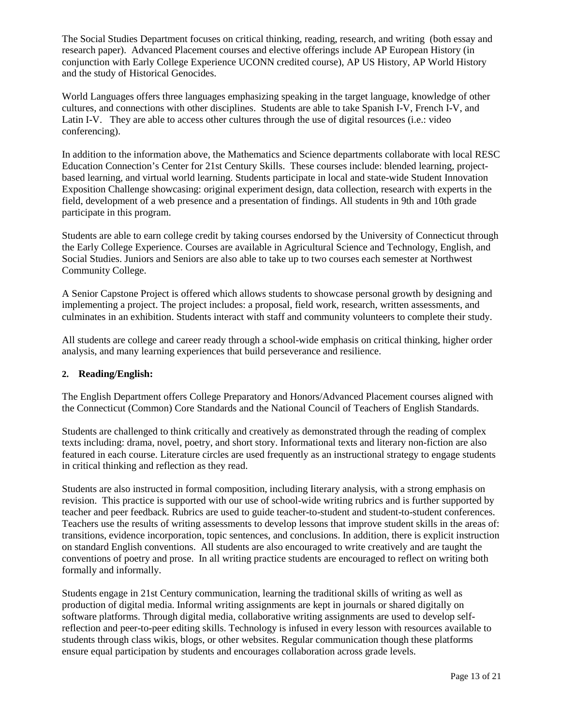The Social Studies Department focuses on critical thinking, reading, research, and writing (both essay and research paper). Advanced Placement courses and elective offerings include AP European History (in conjunction with Early College Experience UCONN credited course), AP US History, AP World History and the study of Historical Genocides.

World Languages offers three languages emphasizing speaking in the target language, knowledge of other cultures, and connections with other disciplines. Students are able to take Spanish I-V, French I-V, and Latin I-V. They are able to access other cultures through the use of digital resources (i.e.: video conferencing).

In addition to the information above, the Mathematics and Science departments collaborate with local RESC Education Connection's Center for 21st Century Skills. These courses include: blended learning, projectbased learning, and virtual world learning. Students participate in local and state-wide Student Innovation Exposition Challenge showcasing: original experiment design, data collection, research with experts in the field, development of a web presence and a presentation of findings. All students in 9th and 10th grade participate in this program.

Students are able to earn college credit by taking courses endorsed by the University of Connecticut through the Early College Experience. Courses are available in Agricultural Science and Technology, English, and Social Studies. Juniors and Seniors are also able to take up to two courses each semester at Northwest Community College.

A Senior Capstone Project is offered which allows students to showcase personal growth by designing and implementing a project. The project includes: a proposal, field work, research, written assessments, and culminates in an exhibition. Students interact with staff and community volunteers to complete their study.

All students are college and career ready through a school-wide emphasis on critical thinking, higher order analysis, and many learning experiences that build perseverance and resilience.

#### **2. Reading/English:**

The English Department offers College Preparatory and Honors/Advanced Placement courses aligned with the Connecticut (Common) Core Standards and the National Council of Teachers of English Standards.

Students are challenged to think critically and creatively as demonstrated through the reading of complex texts including: drama, novel, poetry, and short story. Informational texts and literary non-fiction are also featured in each course. Literature circles are used frequently as an instructional strategy to engage students in critical thinking and reflection as they read.

Students are also instructed in formal composition, including Iiterary analysis, with a strong emphasis on revision. This practice is supported with our use of school-wide writing rubrics and is further supported by teacher and peer feedback. Rubrics are used to guide teacher-to-student and student-to-student conferences. Teachers use the results of writing assessments to develop lessons that improve student skills in the areas of: transitions, evidence incorporation, topic sentences, and conclusions. In addition, there is explicit instruction on standard English conventions. All students are also encouraged to write creatively and are taught the conventions of poetry and prose. In all writing practice students are encouraged to reflect on writing both formally and informally.

Students engage in 21st Century communication, learning the traditional skills of writing as well as production of digital media. Informal writing assignments are kept in journals or shared digitally on software platforms. Through digital media, collaborative writing assignments are used to develop selfreflection and peer-to-peer editing skills. Technology is infused in every lesson with resources available to students through class wikis, blogs, or other websites. Regular communication though these platforms ensure equal participation by students and encourages collaboration across grade levels.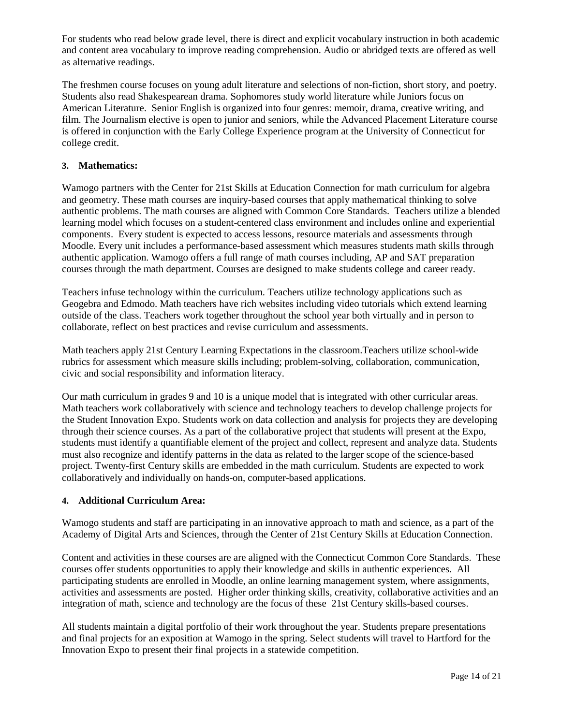For students who read below grade level, there is direct and explicit vocabulary instruction in both academic and content area vocabulary to improve reading comprehension. Audio or abridged texts are offered as well as alternative readings.

The freshmen course focuses on young adult literature and selections of non-fiction, short story, and poetry. Students also read Shakespearean drama. Sophomores study world literature while Juniors focus on American Literature. Senior English is organized into four genres: memoir, drama, creative writing, and film. The Journalism elective is open to junior and seniors, while the Advanced Placement Literature course is offered in conjunction with the Early College Experience program at the University of Connecticut for college credit.

#### **3. Mathematics:**

Wamogo partners with the Center for 21st Skills at Education Connection for math curriculum for algebra and geometry. These math courses are inquiry-based courses that apply mathematical thinking to solve authentic problems. The math courses are aligned with Common Core Standards. Teachers utilize a blended learning model which focuses on a student-centered class environment and includes online and experiential components. Every student is expected to access lessons, resource materials and assessments through Moodle. Every unit includes a performance-based assessment which measures students math skills through authentic application. Wamogo offers a full range of math courses including, AP and SAT preparation courses through the math department. Courses are designed to make students college and career ready.

Teachers infuse technology within the curriculum. Teachers utilize technology applications such as Geogebra and Edmodo. Math teachers have rich websites including video tutorials which extend learning outside of the class. Teachers work together throughout the school year both virtually and in person to collaborate, reflect on best practices and revise curriculum and assessments.

Math teachers apply 21st Century Learning Expectations in the classroom.Teachers utilize school-wide rubrics for assessment which measure skills including; problem-solving, collaboration, communication, civic and social responsibility and information literacy.

Our math curriculum in grades 9 and 10 is a unique model that is integrated with other curricular areas. Math teachers work collaboratively with science and technology teachers to develop challenge projects for the Student Innovation Expo. Students work on data collection and analysis for projects they are developing through their science courses. As a part of the collaborative project that students will present at the Expo, students must identify a quantifiable element of the project and collect, represent and analyze data. Students must also recognize and identify patterns in the data as related to the larger scope of the science-based project. Twenty-first Century skills are embedded in the math curriculum. Students are expected to work collaboratively and individually on hands-on, computer-based applications.

#### **4. Additional Curriculum Area:**

Wamogo students and staff are participating in an innovative approach to math and science, as a part of the Academy of Digital Arts and Sciences, through the Center of 21st Century Skills at Education Connection.

Content and activities in these courses are are aligned with the Connecticut Common Core Standards. These courses offer students opportunities to apply their knowledge and skills in authentic experiences. All participating students are enrolled in Moodle, an online learning management system, where assignments, activities and assessments are posted. Higher order thinking skills, creativity, collaborative activities and an integration of math, science and technology are the focus of these 21st Century skills-based courses.

All students maintain a digital portfolio of their work throughout the year. Students prepare presentations and final projects for an exposition at Wamogo in the spring. Select students will travel to Hartford for the Innovation Expo to present their final projects in a statewide competition.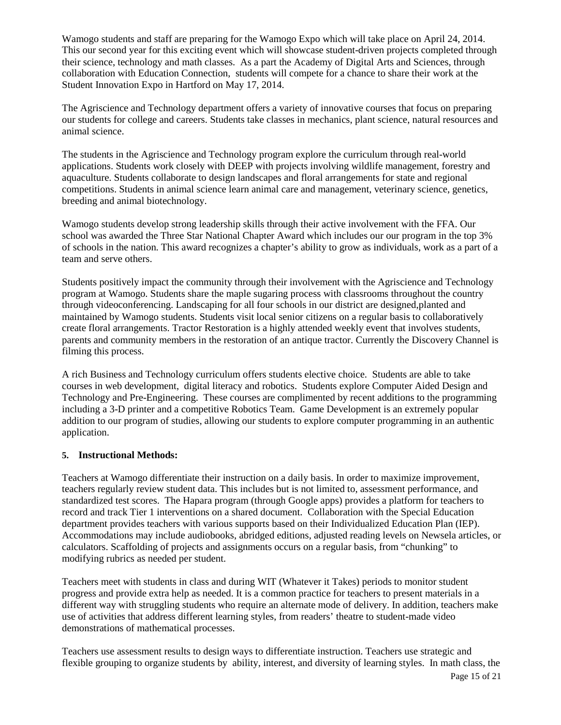Wamogo students and staff are preparing for the Wamogo Expo which will take place on April 24, 2014. This our second year for this exciting event which will showcase student-driven projects completed through their science, technology and math classes. As a part the Academy of Digital Arts and Sciences, through collaboration with Education Connection, students will compete for a chance to share their work at the Student Innovation Expo in Hartford on May 17, 2014.

The Agriscience and Technology department offers a variety of innovative courses that focus on preparing our students for college and careers. Students take classes in mechanics, plant science, natural resources and animal science.

The students in the Agriscience and Technology program explore the curriculum through real-world applications. Students work closely with DEEP with projects involving wildlife management, forestry and aquaculture. Students collaborate to design landscapes and floral arrangements for state and regional competitions. Students in animal science learn animal care and management, veterinary science, genetics, breeding and animal biotechnology.

Wamogo students develop strong leadership skills through their active involvement with the FFA. Our school was awarded the Three Star National Chapter Award which includes our our program in the top 3% of schools in the nation. This award recognizes a chapter's ability to grow as individuals, work as a part of a team and serve others.

Students positively impact the community through their involvement with the Agriscience and Technology program at Wamogo. Students share the maple sugaring process with classrooms throughout the country through videoconferencing. Landscaping for all four schools in our district are designed,planted and maintained by Wamogo students. Students visit local senior citizens on a regular basis to collaboratively create floral arrangements. Tractor Restoration is a highly attended weekly event that involves students, parents and community members in the restoration of an antique tractor. Currently the Discovery Channel is filming this process.

A rich Business and Technology curriculum offers students elective choice. Students are able to take courses in web development, digital literacy and robotics. Students explore Computer Aided Design and Technology and Pre-Engineering. These courses are complimented by recent additions to the programming including a 3-D printer and a competitive Robotics Team. Game Development is an extremely popular addition to our program of studies, allowing our students to explore computer programming in an authentic application.

#### **5. Instructional Methods:**

Teachers at Wamogo differentiate their instruction on a daily basis. In order to maximize improvement, teachers regularly review student data. This includes but is not limited to, assessment performance, and standardized test scores. The Hapara program (through Google apps) provides a platform for teachers to record and track Tier 1 interventions on a shared document. Collaboration with the Special Education department provides teachers with various supports based on their Individualized Education Plan (IEP). Accommodations may include audiobooks, abridged editions, adjusted reading levels on Newsela articles, or calculators. Scaffolding of projects and assignments occurs on a regular basis, from "chunking" to modifying rubrics as needed per student.

Teachers meet with students in class and during WIT (Whatever it Takes) periods to monitor student progress and provide extra help as needed. It is a common practice for teachers to present materials in a different way with struggling students who require an alternate mode of delivery. In addition, teachers make use of activities that address different learning styles, from readers' theatre to student-made video demonstrations of mathematical processes.

Teachers use assessment results to design ways to differentiate instruction. Teachers use strategic and flexible grouping to organize students by ability, interest, and diversity of learning styles. In math class, the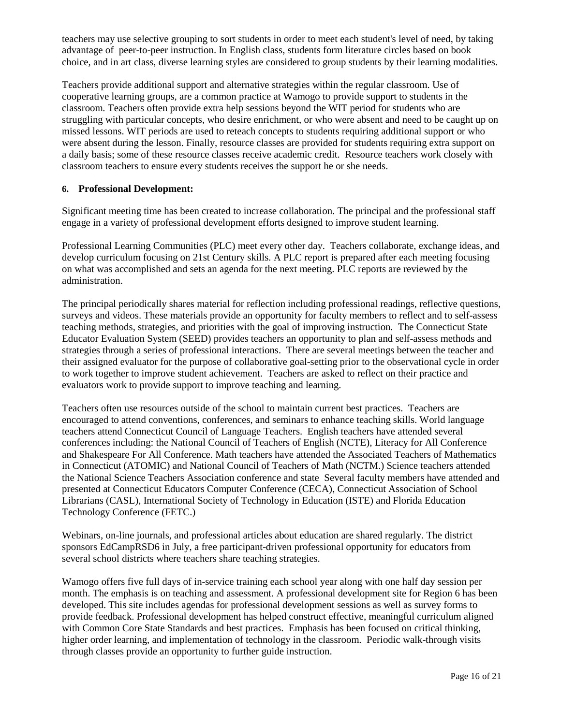teachers may use selective grouping to sort students in order to meet each student's level of need, by taking advantage of peer-to-peer instruction. In English class, students form literature circles based on book choice, and in art class, diverse learning styles are considered to group students by their learning modalities.

Teachers provide additional support and alternative strategies within the regular classroom. Use of cooperative learning groups, are a common practice at Wamogo to provide support to students in the classroom. Teachers often provide extra help sessions beyond the WIT period for students who are struggling with particular concepts, who desire enrichment, or who were absent and need to be caught up on missed lessons. WIT periods are used to reteach concepts to students requiring additional support or who were absent during the lesson. Finally, resource classes are provided for students requiring extra support on a daily basis; some of these resource classes receive academic credit. Resource teachers work closely with classroom teachers to ensure every students receives the support he or she needs.

#### **6. Professional Development:**

Significant meeting time has been created to increase collaboration. The principal and the professional staff engage in a variety of professional development efforts designed to improve student learning.

Professional Learning Communities (PLC) meet every other day. Teachers collaborate, exchange ideas, and develop curriculum focusing on 21st Century skills. A PLC report is prepared after each meeting focusing on what was accomplished and sets an agenda for the next meeting. PLC reports are reviewed by the administration.

The principal periodically shares material for reflection including professional readings, reflective questions, surveys and videos. These materials provide an opportunity for faculty members to reflect and to self-assess teaching methods, strategies, and priorities with the goal of improving instruction. The Connecticut State Educator Evaluation System (SEED) provides teachers an opportunity to plan and self-assess methods and strategies through a series of professional interactions. There are several meetings between the teacher and their assigned evaluator for the purpose of collaborative goal-setting prior to the observational cycle in order to work together to improve student achievement. Teachers are asked to reflect on their practice and evaluators work to provide support to improve teaching and learning.

Teachers often use resources outside of the school to maintain current best practices. Teachers are encouraged to attend conventions, conferences, and seminars to enhance teaching skills. World language teachers attend Connecticut Council of Language Teachers. English teachers have attended several conferences including: the National Council of Teachers of English (NCTE), Literacy for All Conference and Shakespeare For All Conference. Math teachers have attended the Associated Teachers of Mathematics in Connecticut (ATOMIC) and National Council of Teachers of Math (NCTM.) Science teachers attended the National Science Teachers Association conference and state Several faculty members have attended and presented at Connecticut Educators Computer Conference (CECA), Connecticut Association of School Librarians (CASL), International Society of Technology in Education (ISTE) and Florida Education Technology Conference (FETC.)

Webinars, on-line journals, and professional articles about education are shared regularly. The district sponsors EdCampRSD6 in July, a free participant-driven professional opportunity for educators from several school districts where teachers share teaching strategies.

Wamogo offers five full days of in-service training each school year along with one half day session per month. The emphasis is on teaching and assessment. A professional development site for Region 6 has been developed. This site includes agendas for professional development sessions as well as survey forms to provide feedback. Professional development has helped construct effective, meaningful curriculum aligned with Common Core State Standards and best practices. Emphasis has been focused on critical thinking, higher order learning, and implementation of technology in the classroom. Periodic walk-through visits through classes provide an opportunity to further guide instruction.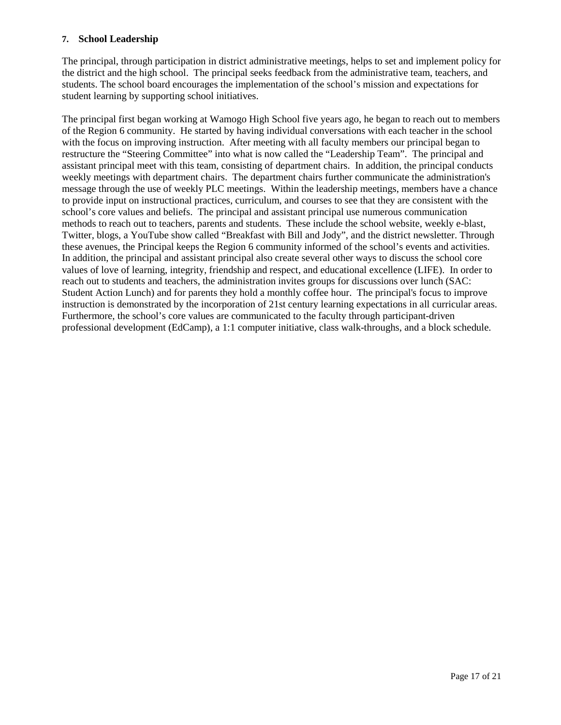#### **7. School Leadership**

The principal, through participation in district administrative meetings, helps to set and implement policy for the district and the high school. The principal seeks feedback from the administrative team, teachers, and students. The school board encourages the implementation of the school's mission and expectations for student learning by supporting school initiatives.

The principal first began working at Wamogo High School five years ago, he began to reach out to members of the Region 6 community. He started by having individual conversations with each teacher in the school with the focus on improving instruction. After meeting with all faculty members our principal began to restructure the "Steering Committee" into what is now called the "Leadership Team". The principal and assistant principal meet with this team, consisting of department chairs. In addition, the principal conducts weekly meetings with department chairs. The department chairs further communicate the administration's message through the use of weekly PLC meetings. Within the leadership meetings, members have a chance to provide input on instructional practices, curriculum, and courses to see that they are consistent with the school's core values and beliefs. The principal and assistant principal use numerous communication methods to reach out to teachers, parents and students. These include the school website, weekly e-blast, Twitter, blogs, a YouTube show called "Breakfast with Bill and Jody", and the district newsletter. Through these avenues, the Principal keeps the Region 6 community informed of the school's events and activities. In addition, the principal and assistant principal also create several other ways to discuss the school core values of love of learning, integrity, friendship and respect, and educational excellence (LIFE). In order to reach out to students and teachers, the administration invites groups for discussions over lunch (SAC: Student Action Lunch) and for parents they hold a monthly coffee hour. The principal's focus to improve instruction is demonstrated by the incorporation of 21st century learning expectations in all curricular areas. Furthermore, the school's core values are communicated to the faculty through participant-driven professional development (EdCamp), a 1:1 computer initiative, class walk-throughs, and a block schedule.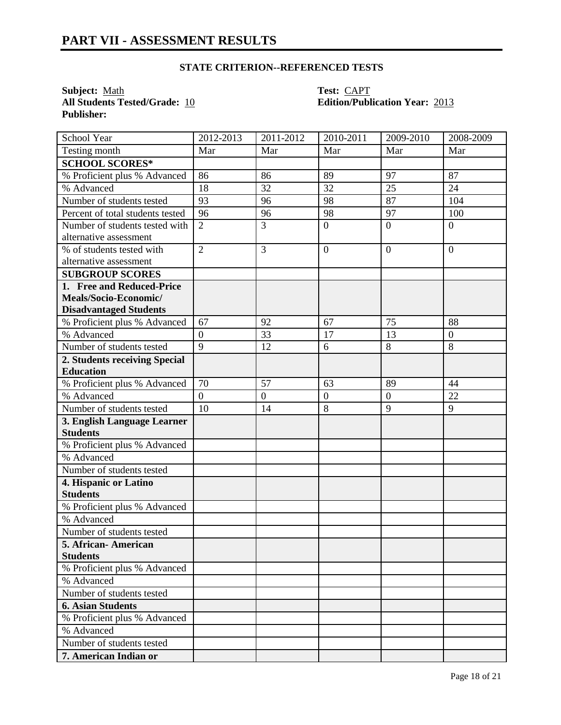#### **STATE CRITERION--REFERENCED TESTS**

**Subject:** <u>Math</u><br> **All Students Tested/Grade:** 10 **Test:** CAPT<br> **CAPT**<br> **CAPT Publisher:** 

# **All Students Tested/Grade:** 10 **Edition/Publication Year:** 2013

| School Year                      | $2012 - 2013$  | 2011-2012        | 2010-2011      | 2009-2010        | 2008-2009        |
|----------------------------------|----------------|------------------|----------------|------------------|------------------|
| Testing month                    | Mar            | Mar              | Mar            | Mar              | Mar              |
| <b>SCHOOL SCORES*</b>            |                |                  |                |                  |                  |
| % Proficient plus % Advanced     | 86             | 86               | 89             | 97               | 87               |
| % Advanced                       | 18             | 32               | 32             | $\overline{25}$  | 24               |
| Number of students tested        | 93             | 96               | 98             | 87               | 104              |
| Percent of total students tested | 96             | 96               | 98             | 97               | 100              |
| Number of students tested with   | $\overline{2}$ | 3                | $\overline{0}$ | $\overline{0}$   | $\overline{0}$   |
| alternative assessment           |                |                  |                |                  |                  |
| % of students tested with        | $\overline{2}$ | 3                | $\overline{0}$ | $\boldsymbol{0}$ | $\overline{0}$   |
| alternative assessment           |                |                  |                |                  |                  |
| <b>SUBGROUP SCORES</b>           |                |                  |                |                  |                  |
| 1. Free and Reduced-Price        |                |                  |                |                  |                  |
| Meals/Socio-Economic/            |                |                  |                |                  |                  |
| <b>Disadvantaged Students</b>    |                |                  |                |                  |                  |
| % Proficient plus % Advanced     | 67             | 92               | 67             | 75               | 88               |
| % Advanced                       | $\overline{0}$ | 33               | 17             | 13               | $\boldsymbol{0}$ |
| Number of students tested        | 9              | 12               | 6              | 8                | 8                |
| 2. Students receiving Special    |                |                  |                |                  |                  |
| <b>Education</b>                 |                |                  |                |                  |                  |
| % Proficient plus % Advanced     | 70             | 57               | 63             | 89               | 44               |
| % Advanced                       | $\overline{0}$ | $\boldsymbol{0}$ | $\overline{0}$ | $\mathbf{0}$     | 22               |
| Number of students tested        | 10             | 14               | 8              | 9                | 9                |
| 3. English Language Learner      |                |                  |                |                  |                  |
| <b>Students</b>                  |                |                  |                |                  |                  |
| % Proficient plus % Advanced     |                |                  |                |                  |                  |
| % Advanced                       |                |                  |                |                  |                  |
| Number of students tested        |                |                  |                |                  |                  |
| 4. Hispanic or Latino            |                |                  |                |                  |                  |
| <b>Students</b>                  |                |                  |                |                  |                  |
| % Proficient plus % Advanced     |                |                  |                |                  |                  |
| % Advanced                       |                |                  |                |                  |                  |
| Number of students tested        |                |                  |                |                  |                  |
| 5. African-American              |                |                  |                |                  |                  |
| <b>Students</b>                  |                |                  |                |                  |                  |
| % Proficient plus % Advanced     |                |                  |                |                  |                  |
| % Advanced                       |                |                  |                |                  |                  |
| Number of students tested        |                |                  |                |                  |                  |
| <b>6. Asian Students</b>         |                |                  |                |                  |                  |
| % Proficient plus % Advanced     |                |                  |                |                  |                  |
| % Advanced                       |                |                  |                |                  |                  |
| Number of students tested        |                |                  |                |                  |                  |
| 7. American Indian or            |                |                  |                |                  |                  |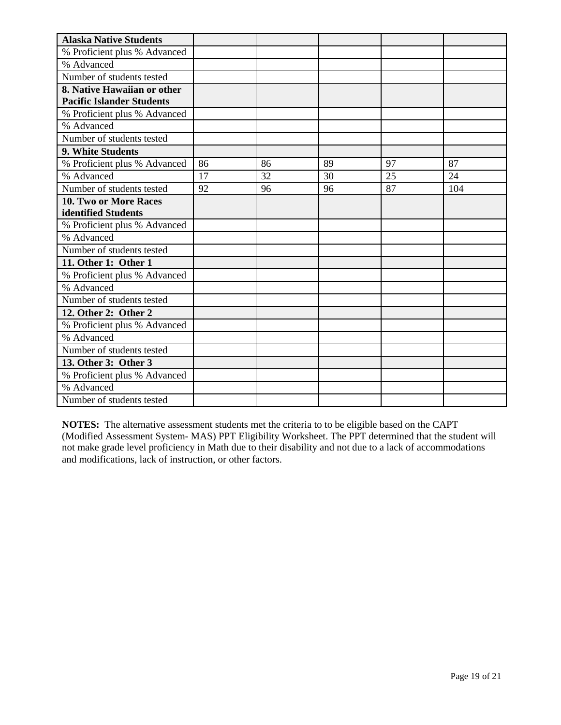| <b>Alaska Native Students</b>    |    |    |    |    |     |
|----------------------------------|----|----|----|----|-----|
| % Proficient plus % Advanced     |    |    |    |    |     |
| % Advanced                       |    |    |    |    |     |
| Number of students tested        |    |    |    |    |     |
| 8. Native Hawaiian or other      |    |    |    |    |     |
| <b>Pacific Islander Students</b> |    |    |    |    |     |
| % Proficient plus % Advanced     |    |    |    |    |     |
| % Advanced                       |    |    |    |    |     |
| Number of students tested        |    |    |    |    |     |
| 9. White Students                |    |    |    |    |     |
| % Proficient plus % Advanced     | 86 | 86 | 89 | 97 | 87  |
| % Advanced                       | 17 | 32 | 30 | 25 | 24  |
| Number of students tested        | 92 | 96 | 96 | 87 | 104 |
| 10. Two or More Races            |    |    |    |    |     |
| identified Students              |    |    |    |    |     |
| % Proficient plus % Advanced     |    |    |    |    |     |
| % Advanced                       |    |    |    |    |     |
| Number of students tested        |    |    |    |    |     |
| 11. Other 1: Other 1             |    |    |    |    |     |
| % Proficient plus % Advanced     |    |    |    |    |     |
| % Advanced                       |    |    |    |    |     |
| Number of students tested        |    |    |    |    |     |
| 12. Other 2: Other 2             |    |    |    |    |     |
| % Proficient plus % Advanced     |    |    |    |    |     |
| % Advanced                       |    |    |    |    |     |
| Number of students tested        |    |    |    |    |     |
| 13. Other 3: Other 3             |    |    |    |    |     |
| % Proficient plus % Advanced     |    |    |    |    |     |
| % Advanced                       |    |    |    |    |     |
| Number of students tested        |    |    |    |    |     |

**NOTES:** The alternative assessment students met the criteria to to be eligible based on the CAPT (Modified Assessment System- MAS) PPT Eligibility Worksheet. The PPT determined that the student will not make grade level proficiency in Math due to their disability and not due to a lack of accommodations and modifications, lack of instruction, or other factors.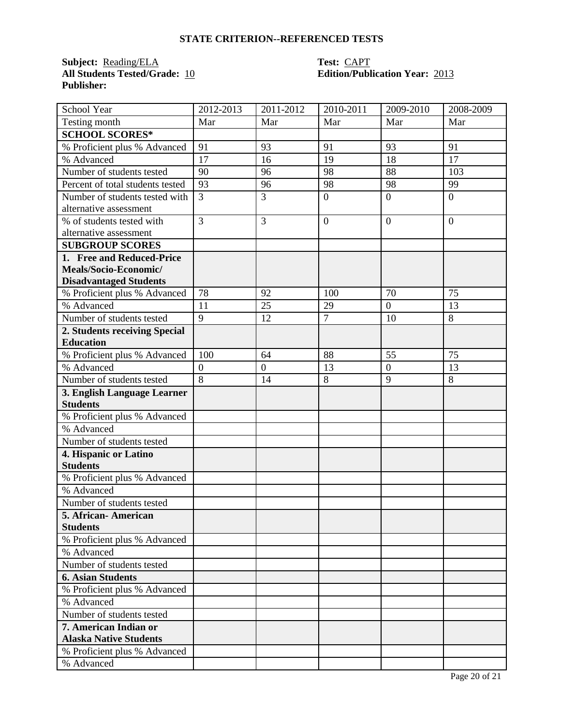#### **STATE CRITERION--REFERENCED TESTS**

## **Subject:** <u>Reading/ELA</u> **Test:** <u>CAPT</u><br> **All Students Tested/Grade:** <u>10</u> **Call Edition/Publ Publisher:**

# **Edition/Publication Year: 2013**

| School Year                      | 2012-2013        | 2011-2012        | $2010 - 2011$    | 2009-2010      | 2008-2009      |
|----------------------------------|------------------|------------------|------------------|----------------|----------------|
| Testing month                    | Mar              | Mar              | Mar              | Mar            | Mar            |
| <b>SCHOOL SCORES*</b>            |                  |                  |                  |                |                |
| % Proficient plus % Advanced     | 91               | 93               | 91               | 93             | 91             |
| % Advanced                       | 17               | 16               | 19               | 18             | 17             |
| Number of students tested        | 90               | 96               | 98               | 88             | 103            |
| Percent of total students tested | 93               | 96               | 98               | 98             | 99             |
| Number of students tested with   | 3                | 3                | $\boldsymbol{0}$ | $\overline{0}$ | $\overline{0}$ |
| alternative assessment           |                  |                  |                  |                |                |
| % of students tested with        | $\overline{3}$   | 3                | $\overline{0}$   | $\overline{0}$ | $\overline{0}$ |
| alternative assessment           |                  |                  |                  |                |                |
| <b>SUBGROUP SCORES</b>           |                  |                  |                  |                |                |
| 1. Free and Reduced-Price        |                  |                  |                  |                |                |
| Meals/Socio-Economic/            |                  |                  |                  |                |                |
| <b>Disadvantaged Students</b>    |                  |                  |                  |                |                |
| % Proficient plus % Advanced     | 78               | 92               | 100              | 70             | 75             |
| % Advanced                       | 11               | 25               | 29               | $\overline{0}$ | 13             |
| Number of students tested        | $\overline{9}$   | 12               | $\overline{7}$   | 10             | 8              |
| 2. Students receiving Special    |                  |                  |                  |                |                |
| <b>Education</b>                 |                  |                  |                  |                |                |
| % Proficient plus % Advanced     | 100              | 64               | 88               | 55             | 75             |
| % Advanced                       | $\boldsymbol{0}$ | $\boldsymbol{0}$ | 13               | $\overline{0}$ | 13             |
| Number of students tested        | $\overline{8}$   | 14               | 8                | $\overline{9}$ | 8              |
| 3. English Language Learner      |                  |                  |                  |                |                |
| <b>Students</b>                  |                  |                  |                  |                |                |
| % Proficient plus % Advanced     |                  |                  |                  |                |                |
| % Advanced                       |                  |                  |                  |                |                |
| Number of students tested        |                  |                  |                  |                |                |
| 4. Hispanic or Latino            |                  |                  |                  |                |                |
| <b>Students</b>                  |                  |                  |                  |                |                |
| % Proficient plus % Advanced     |                  |                  |                  |                |                |
| % Advanced                       |                  |                  |                  |                |                |
| Number of students tested        |                  |                  |                  |                |                |
| 5. African- American             |                  |                  |                  |                |                |
| <b>Students</b>                  |                  |                  |                  |                |                |
| % Proficient plus % Advanced     |                  |                  |                  |                |                |
| % Advanced                       |                  |                  |                  |                |                |
| Number of students tested        |                  |                  |                  |                |                |
| <b>6. Asian Students</b>         |                  |                  |                  |                |                |
| % Proficient plus % Advanced     |                  |                  |                  |                |                |
| % Advanced                       |                  |                  |                  |                |                |
| Number of students tested        |                  |                  |                  |                |                |
| 7. American Indian or            |                  |                  |                  |                |                |
| <b>Alaska Native Students</b>    |                  |                  |                  |                |                |
| % Proficient plus % Advanced     |                  |                  |                  |                |                |
| % Advanced                       |                  |                  |                  |                |                |